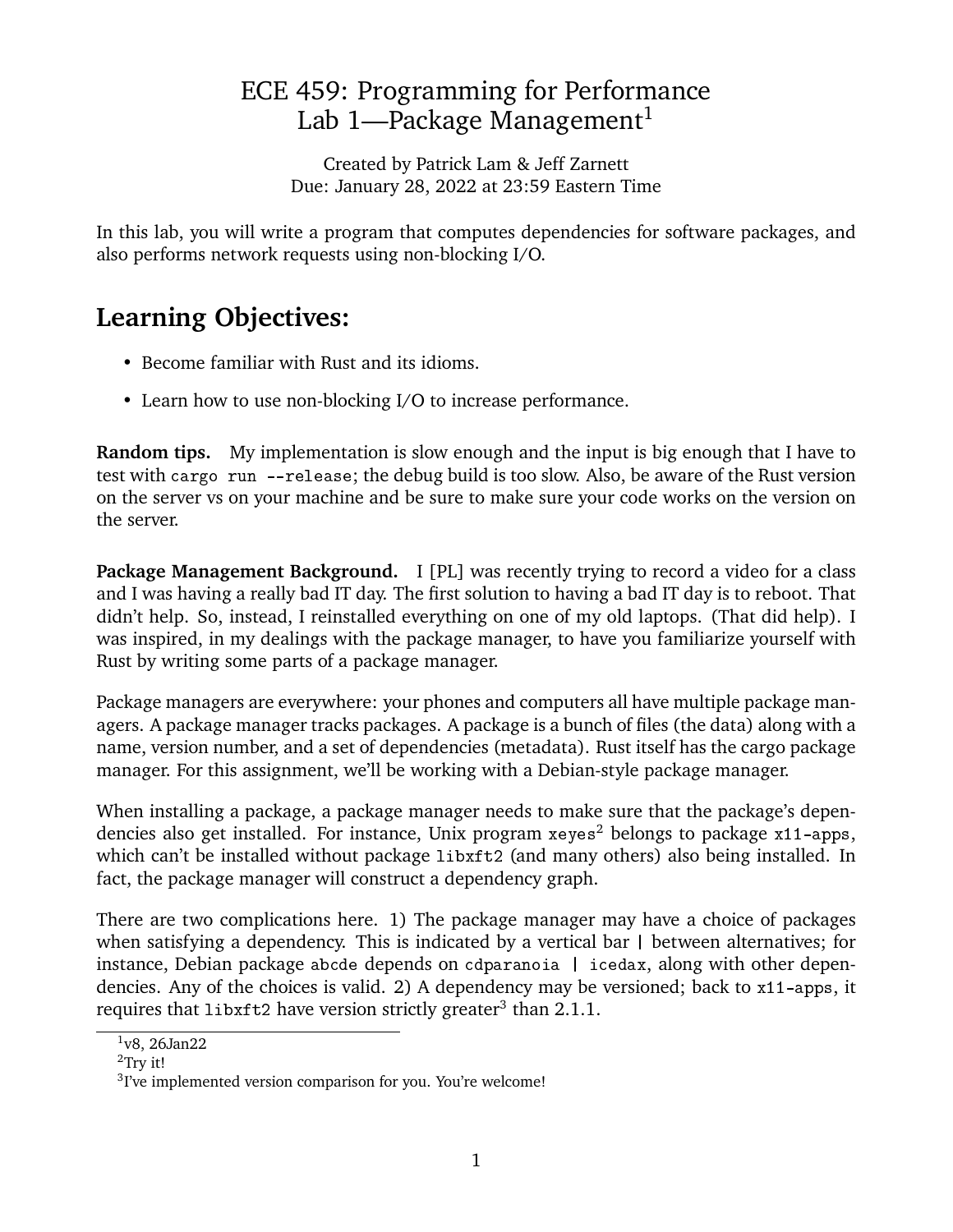# ECE 459: Programming for Performance Lab [1](#page-0-0)—Package Management<sup>1</sup>

Created by Patrick Lam & Jeff Zarnett Due: January 28, 2022 at 23:59 Eastern Time

In this lab, you will write a program that computes dependencies for software packages, and also performs network requests using non-blocking I/O.

# **Learning Objectives:**

- Become familiar with Rust and its idioms.
- Learn how to use non-blocking I/O to increase performance.

**Random tips.** My implementation is slow enough and the input is big enough that I have to test with cargo run --release; the debug build is too slow. Also, be aware of the Rust version on the server vs on your machine and be sure to make sure your code works on the version on the server.

**Package Management Background.** I [PL] was recently trying to record a video for a class and I was having a really bad IT day. The first solution to having a bad IT day is to reboot. That didn't help. So, instead, I reinstalled everything on one of my old laptops. (That did help). I was inspired, in my dealings with the package manager, to have you familiarize yourself with Rust by writing some parts of a package manager.

Package managers are everywhere: your phones and computers all have multiple package managers. A package manager tracks packages. A package is a bunch of files (the data) along with a name, version number, and a set of dependencies (metadata). Rust itself has the cargo package manager. For this assignment, we'll be working with a Debian-style package manager.

When installing a package, a package manager needs to make sure that the package's dependencies also get installed. For instance, Unix program  $x \in \mathbb{R}^2$  $x \in \mathbb{R}^2$  belongs to package  $x11$ -apps, which can't be installed without package libxft2 (and many others) also being installed. In fact, the package manager will construct a dependency graph.

There are two complications here. 1) The package manager may have a choice of packages when satisfying a dependency. This is indicated by a vertical bar | between alternatives; for instance, Debian package abcde depends on cdparanoia | icedax, along with other dependencies. Any of the choices is valid. 2) A dependency may be versioned; back to x11-apps, it requires that  $\mathtt{list12}$  have version strictly greater $^3$  $^3$  than 2.1.1.

<span id="page-0-0"></span> $1v8$ , 26Jan22

<span id="page-0-1"></span><sup>&</sup>lt;sup>2</sup>Try it!

<span id="page-0-2"></span> $3$ I've implemented version comparison for you. You're welcome!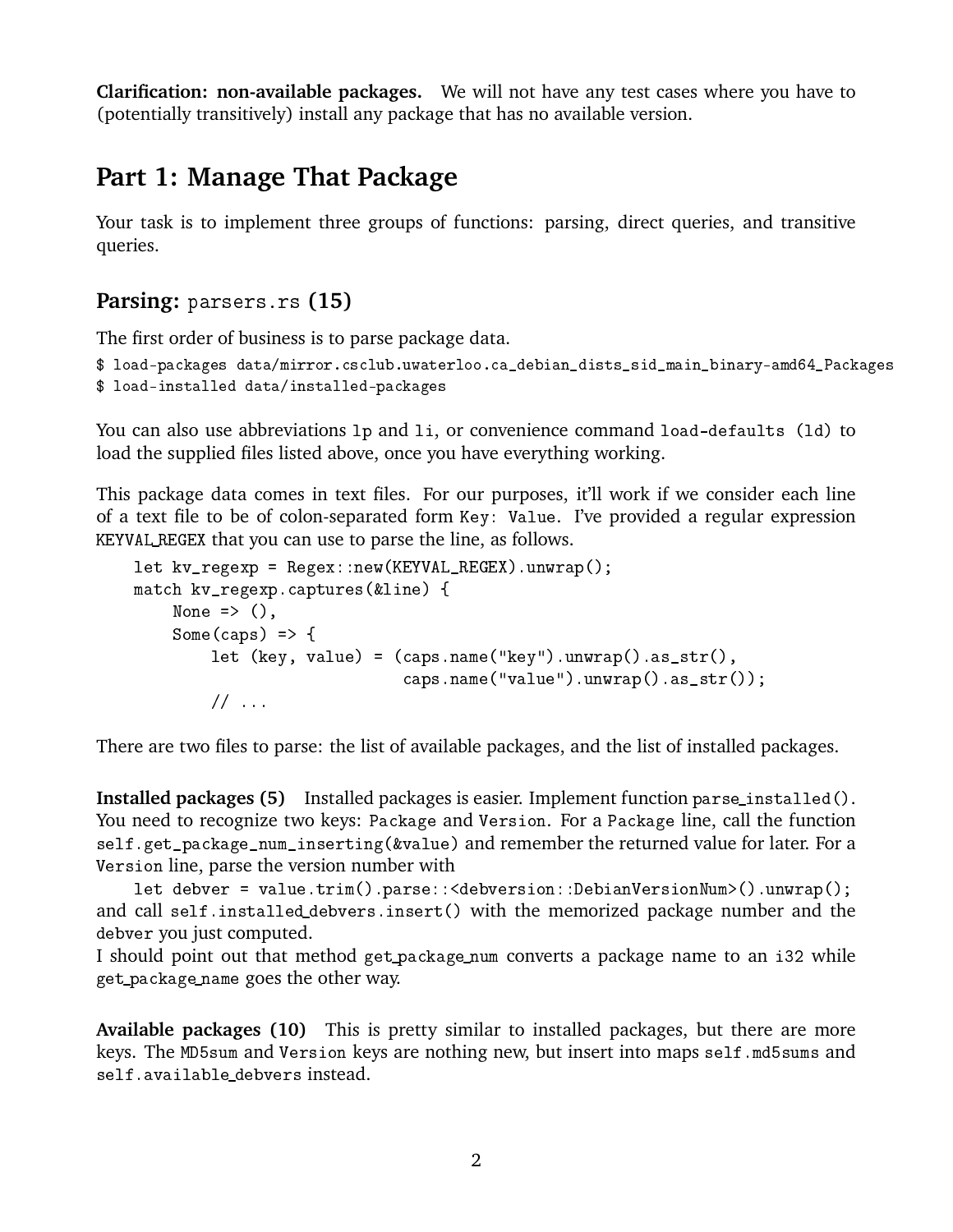**Clarification: non-available packages.** We will not have any test cases where you have to (potentially transitively) install any package that has no available version.

### **Part 1: Manage That Package**

Your task is to implement three groups of functions: parsing, direct queries, and transitive queries.

#### **Parsing:** parsers.rs **(15)**

The first order of business is to parse package data.

```
$ load-packages data/mirror.csclub.uwaterloo.ca_debian_dists_sid_main_binary-amd64_Packages
$ load-installed data/installed-packages
```
You can also use abbreviations lp and li, or convenience command load-defaults (ld) to load the supplied files listed above, once you have everything working.

This package data comes in text files. For our purposes, it'll work if we consider each line of a text file to be of colon-separated form Key: Value. I've provided a regular expression KEYVAL\_REGEX that you can use to parse the line, as follows.

```
let kv_regexp = Regex::new(KEYVAL_REGEX).unwrap();
match kv_regexp.captures(&line) {
    None \Rightarrow (),
    Some(caps) \Rightarrow {
        let (key, value) = (caps.name("key").unwrap().as_str(),
                               caps.name("value").unwrap().as_str());
        // \ldots
```
There are two files to parse: the list of available packages, and the list of installed packages.

**Installed packages (5)** Installed packages is easier. Implement function parse\_installed(). You need to recognize two keys: Package and Version. For a Package line, call the function self.get\_package\_num\_inserting(&value) and remember the returned value for later. For a Version line, parse the version number with

let debver = value.trim().parse:: < debversion:: DebianVersionNum>().unwrap(); and call self.installed\_debvers.insert() with the memorized package number and the debver you just computed.

I should point out that method get\_package\_num converts a package name to an i32 while get\_package\_name goes the other way.

**Available packages (10)** This is pretty similar to installed packages, but there are more keys. The MD5sum and Version keys are nothing new, but insert into maps self.md5sums and self.available debvers instead.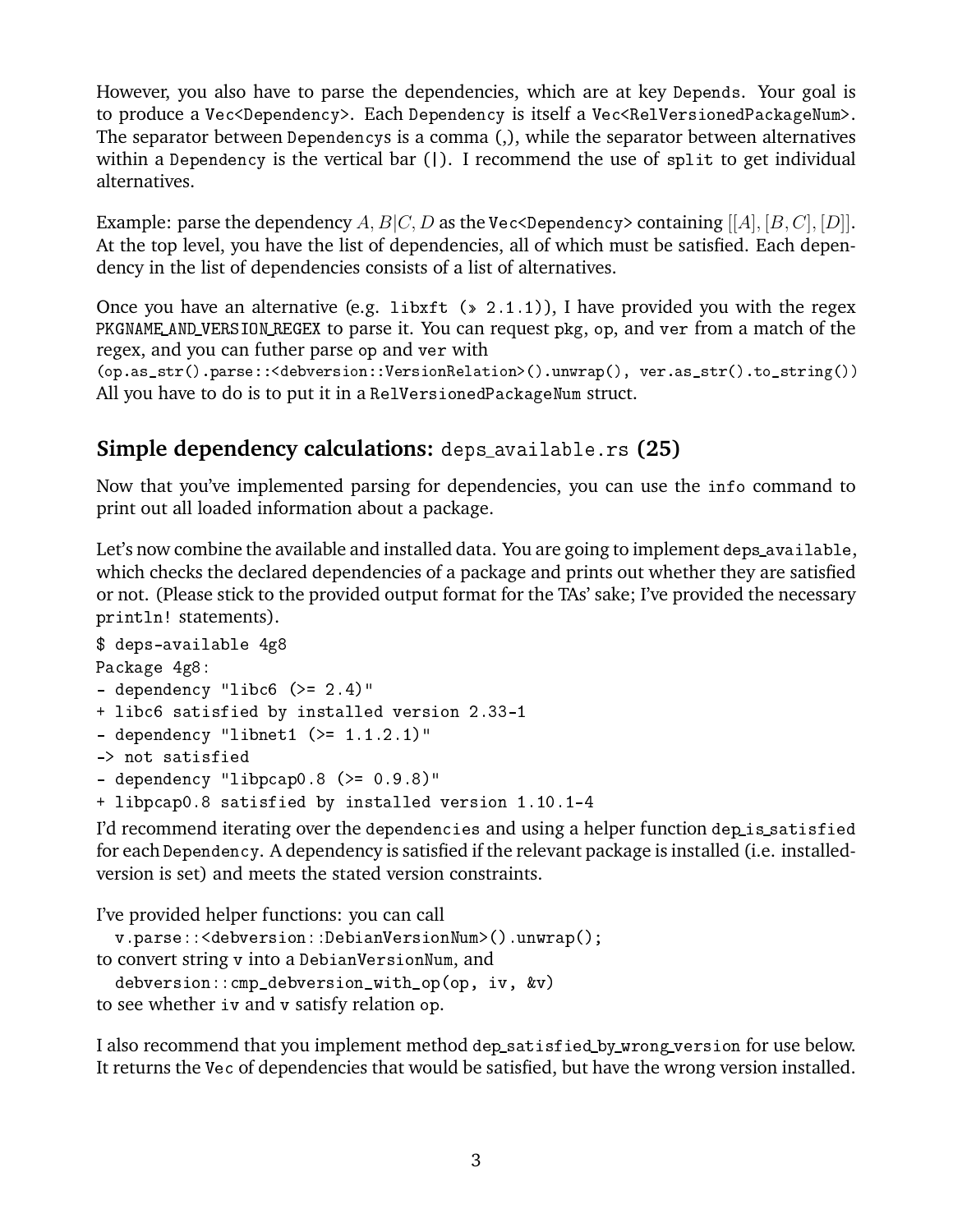However, you also have to parse the dependencies, which are at key Depends. Your goal is to produce a Vec<Dependency>. Each Dependency is itself a Vec<RelVersionedPackageNum>. The separator between Dependencys is a comma (,), while the separator between alternatives within a Dependency is the vertical bar (1). I recommend the use of split to get individual alternatives.

Example: parse the dependency A,  $B|C, D$  as the Vec<Dependency> containing [[A], [B, C], [D]]. At the top level, you have the list of dependencies, all of which must be satisfied. Each dependency in the list of dependencies consists of a list of alternatives.

Once you have an alternative (e.g. libxft  $(*)$  2.1.1)), I have provided you with the regex PKGNAME\_AND\_VERSION\_REGEX to parse it. You can request pkg, op, and ver from a match of the regex, and you can futher parse op and ver with

(op.as\_str().parse::<debversion::VersionRelation>().unwrap(), ver.as\_str().to\_string()) All you have to do is to put it in a RelVersionedPackageNum struct.

### **Simple dependency calculations:** deps\_available.rs **(25)**

Now that you've implemented parsing for dependencies, you can use the info command to print out all loaded information about a package.

Let's now combine the available and installed data. You are going to implement deps\_available, which checks the declared dependencies of a package and prints out whether they are satisfied or not. (Please stick to the provided output format for the TAs' sake; I've provided the necessary println! statements).

```
$ deps-available 4g8
Package 4g8:
- dependency "libc6 (>= 2.4)"
+ libc6 satisfied by installed version 2.33-1
- dependency "libnet1 (>= 1.1.2.1)"
-> not satisfied
- dependency "libpcap0.8 (>= 0.9.8)"
+ libpcap0.8 satisfied by installed version 1.10.1-4
```
I'd recommend iterating over the dependencies and using a helper function dep\_is\_satisfied for each Dependency. A dependency is satisfied if the relevant package is installed (i.e. installedversion is set) and meets the stated version constraints.

```
I've provided helper functions: you can call
  v.parse::<debversion::DebianVersionNum>().unwrap();
to convert string v into a DebianVersionNum, and
  debversion::cmp_debversion_with_op(op, iv, &v)
to see whether iv and v satisfy relation op.
```
I also recommend that you implement method dep\_satisfied\_by\_wrong\_version for use below. It returns the Vec of dependencies that would be satisfied, but have the wrong version installed.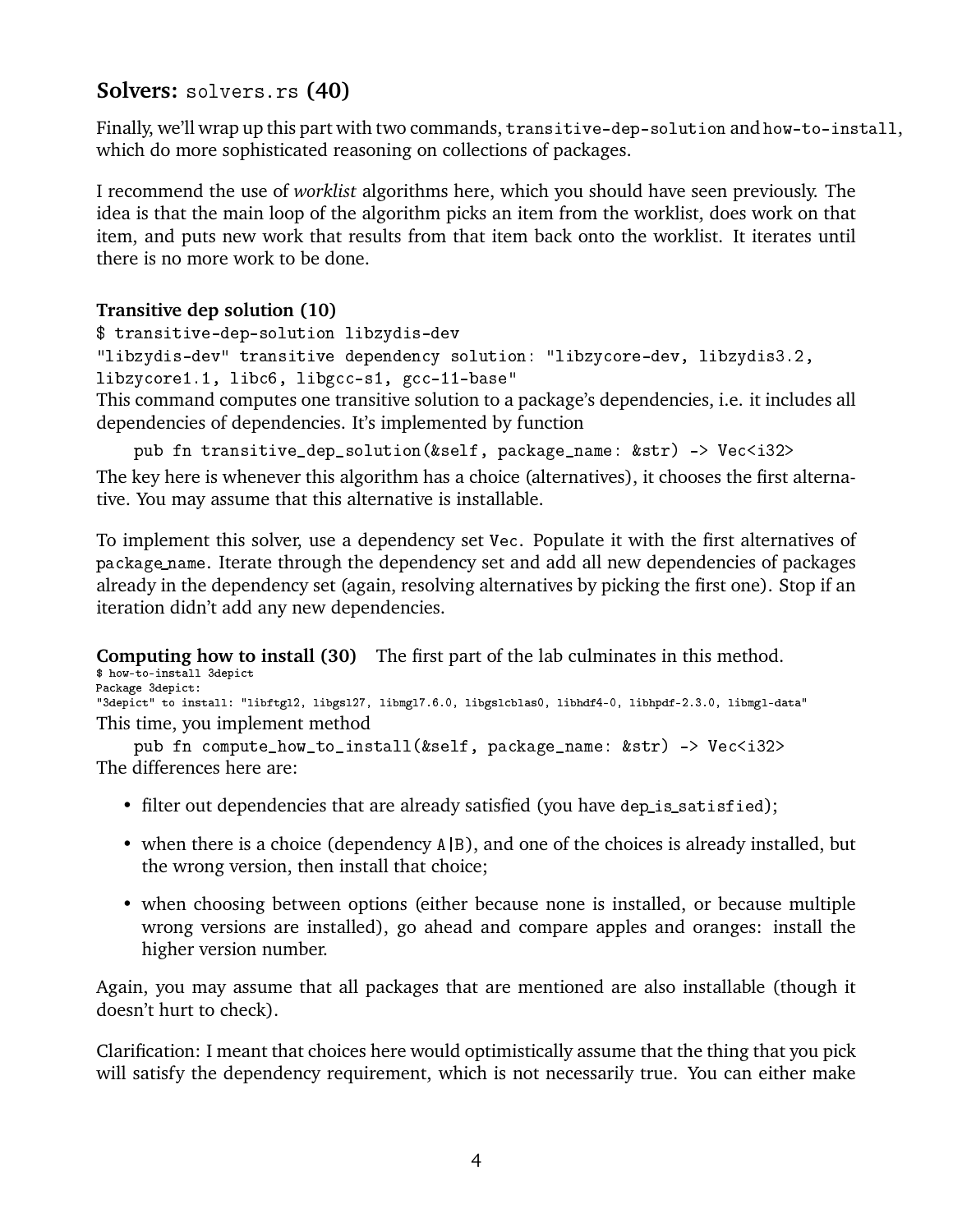### **Solvers:** solvers.rs **(40)**

Finally, we'll wrap up this part with two commands, transitive-dep-solution and how-to-install, which do more sophisticated reasoning on collections of packages.

I recommend the use of *worklist* algorithms here, which you should have seen previously. The idea is that the main loop of the algorithm picks an item from the worklist, does work on that item, and puts new work that results from that item back onto the worklist. It iterates until there is no more work to be done.

#### **Transitive dep solution (10)**

```
$ transitive-dep-solution libzydis-dev
```

```
"libzydis-dev" transitive dependency solution: "libzycore-dev, libzydis3.2,
```
libzycore1.1, libc6, libgcc-s1, gcc-11-base"

This command computes one transitive solution to a package's dependencies, i.e. it includes all dependencies of dependencies. It's implemented by function

```
pub fn transitive_dep_solution(&self, package_name: &str) -> Vec<i32>
```
The key here is whenever this algorithm has a choice (alternatives), it chooses the first alternative. You may assume that this alternative is installable.

To implement this solver, use a dependency set Vec. Populate it with the first alternatives of package\_name. Iterate through the dependency set and add all new dependencies of packages already in the dependency set (again, resolving alternatives by picking the first one). Stop if an iteration didn't add any new dependencies.

**Computing how to install (30)** The first part of the lab culminates in this method. \$ how-to-install 3depict

```
Package 3depict:
"3depict" to install: "libftgl2, libgsl27, libmgl7.6.0, libgslcblas0, libhdf4-0, libhpdf-2.3.0, libmgl-data"
This time, you implement method
```

```
pub fn compute how to install(&self, package name: &str) -> Vec<i32>
The differences here are:
```
- filter out dependencies that are already satisfied (you have dep\_is\_satisfied);
- when there is a choice (dependency A|B), and one of the choices is already installed, but the wrong version, then install that choice;
- when choosing between options (either because none is installed, or because multiple wrong versions are installed), go ahead and compare apples and oranges: install the higher version number.

Again, you may assume that all packages that are mentioned are also installable (though it doesn't hurt to check).

Clarification: I meant that choices here would optimistically assume that the thing that you pick will satisfy the dependency requirement, which is not necessarily true. You can either make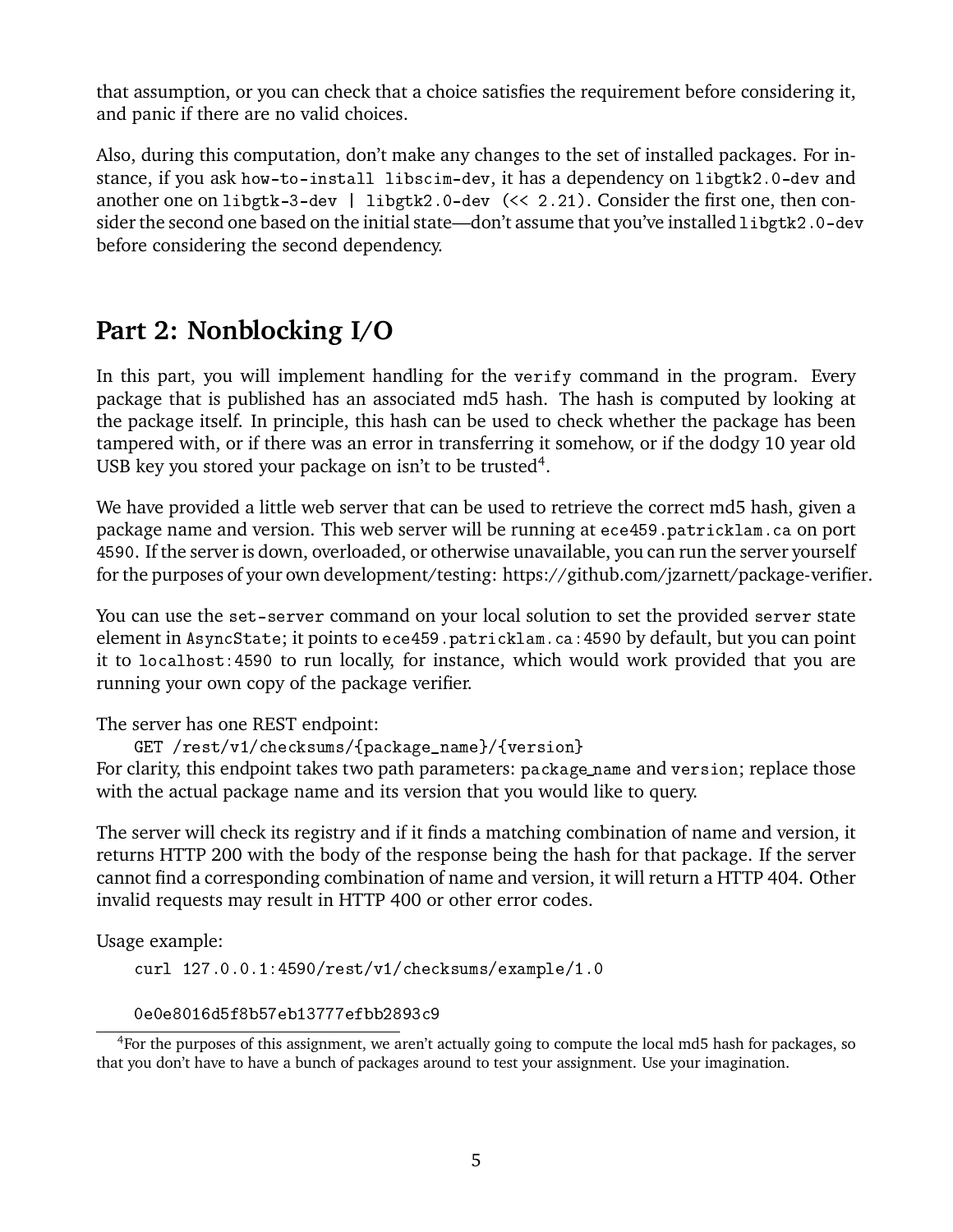that assumption, or you can check that a choice satisfies the requirement before considering it, and panic if there are no valid choices.

Also, during this computation, don't make any changes to the set of installed packages. For instance, if you ask how-to-install libscim-dev, it has a dependency on libgtk2.0-dev and another one on libgtk-3-dev | libgtk2.0-dev (<< 2.21). Consider the first one, then consider the second one based on the initial state—don't assume that you've installed libgtk2.0-dev before considering the second dependency.

## **Part 2: Nonblocking I/O**

In this part, you will implement handling for the verify command in the program. Every package that is published has an associated md5 hash. The hash is computed by looking at the package itself. In principle, this hash can be used to check whether the package has been tampered with, or if there was an error in transferring it somehow, or if the dodgy 10 year old USB key you stored your package on isn't to be trusted<sup>[4](#page-4-0)</sup>.

We have provided a little web server that can be used to retrieve the correct md5 hash, given a package name and version. This web server will be running at ece459.patricklam.ca on port 4590. If the server is down, overloaded, or otherwise unavailable, you can run the server yourself for the purposes of your own development/testing: [https://github.com/jzarnett/package-verifier.](https://github.com/jzarnett/package-verifier)

You can use the set-server command on your local solution to set the provided server state element in AsyncState; it points to ece459.patricklam.ca:4590 by default, but you can point it to localhost:4590 to run locally, for instance, which would work provided that you are running your own copy of the package verifier.

The server has one REST endpoint:

GET /rest/v1/checksums/{package\_name}/{version}

For clarity, this endpoint takes two path parameters: package\_name and version; replace those with the actual package name and its version that you would like to query.

The server will check its registry and if it finds a matching combination of name and version, it returns HTTP 200 with the body of the response being the hash for that package. If the server cannot find a corresponding combination of name and version, it will return a HTTP 404. Other invalid requests may result in HTTP 400 or other error codes.

Usage example:

curl 127.0.0.1:4590/rest/v1/checksums/example/1.0

<span id="page-4-0"></span>0e0e8016d5f8b57eb13777efbb2893c9

<sup>4</sup>For the purposes of this assignment, we aren't actually going to compute the local md5 hash for packages, so that you don't have to have a bunch of packages around to test your assignment. Use your imagination.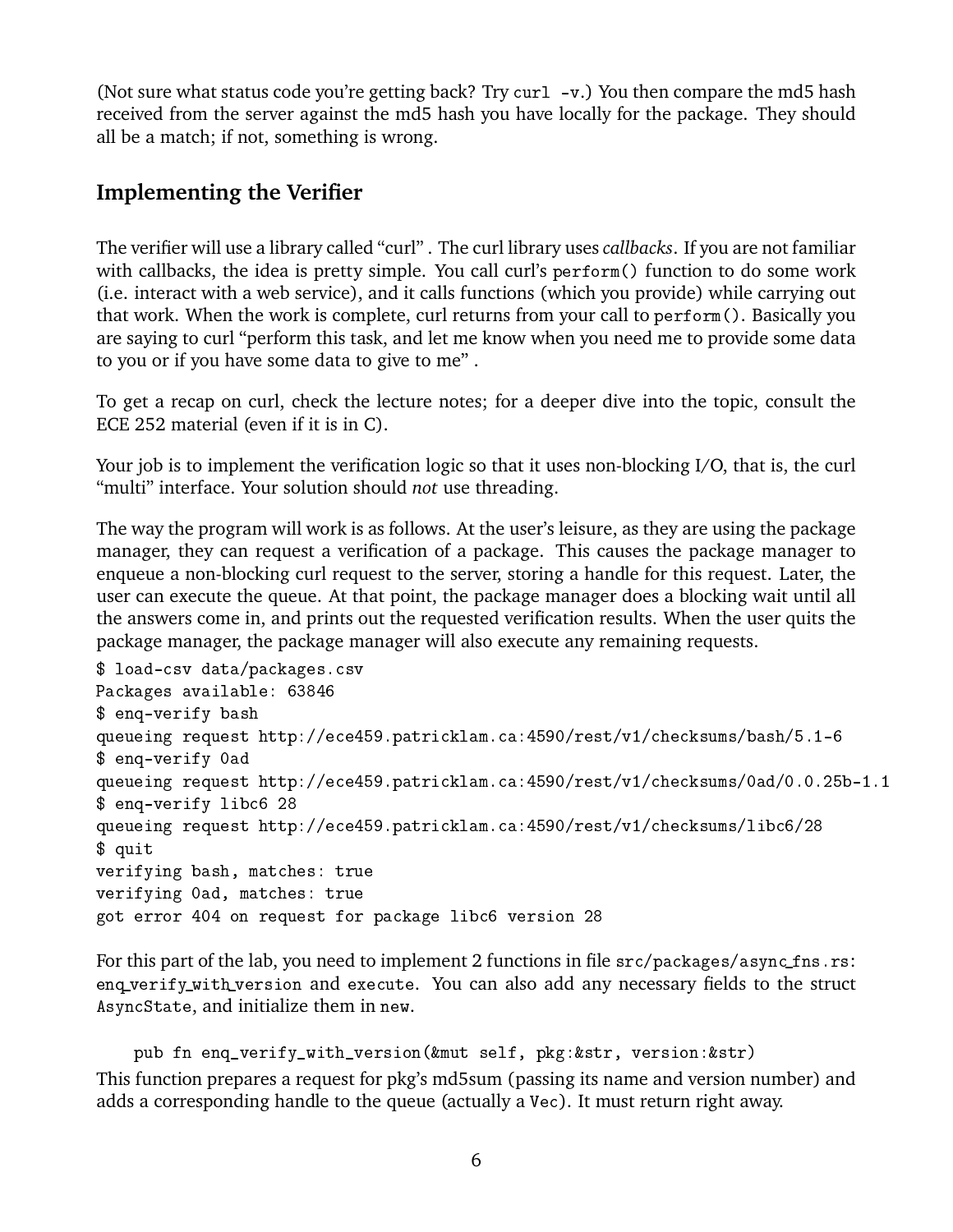(Not sure what status code you're getting back? Try curl -v.) You then compare the md5 hash received from the server against the md5 hash you have locally for the package. They should all be a match; if not, something is wrong.

### **Implementing the Verifier**

The verifier will use a library called "curl" . The curl library uses *callbacks*. If you are not familiar with callbacks, the idea is pretty simple. You call curl's perform() function to do some work (i.e. interact with a web service), and it calls functions (which you provide) while carrying out that work. When the work is complete, curl returns from your call to perform(). Basically you are saying to curl "perform this task, and let me know when you need me to provide some data to you or if you have some data to give to me" .

To get a recap on curl, check the lecture notes; for a deeper dive into the topic, consult the ECE 252 material (even if it is in C).

Your job is to implement the verification logic so that it uses non-blocking I/O, that is, the curl "multi" interface. Your solution should *not* use threading.

The way the program will work is as follows. At the user's leisure, as they are using the package manager, they can request a verification of a package. This causes the package manager to enqueue a non-blocking curl request to the server, storing a handle for this request. Later, the user can execute the queue. At that point, the package manager does a blocking wait until all the answers come in, and prints out the requested verification results. When the user quits the package manager, the package manager will also execute any remaining requests.

```
$ load-csv data/packages.csv
Packages available: 63846
$ enq-verify bash
queueing request http://ece459.patricklam.ca:4590/rest/v1/checksums/bash/5.1-6
$ enq-verify 0ad
queueing request http://ece459.patricklam.ca:4590/rest/v1/checksums/0ad/0.0.25b-1.1
$ enq-verify libc6 28
queueing request http://ece459.patricklam.ca:4590/rest/v1/checksums/libc6/28
$ quit
verifying bash, matches: true
verifying 0ad, matches: true
got error 404 on request for package libc6 version 28
```
For this part of the lab, you need to implement 2 functions in file  $src/packages/async_fns.rs$ : enq\_verify\_with\_version and execute. You can also add any necessary fields to the struct AsyncState, and initialize them in new.

pub fn enq\_verify\_with\_version(&mut self, pkg:&str, version:&str) This function prepares a request for pkg's md5sum (passing its name and version number) and adds a corresponding handle to the queue (actually a Vec). It must return right away.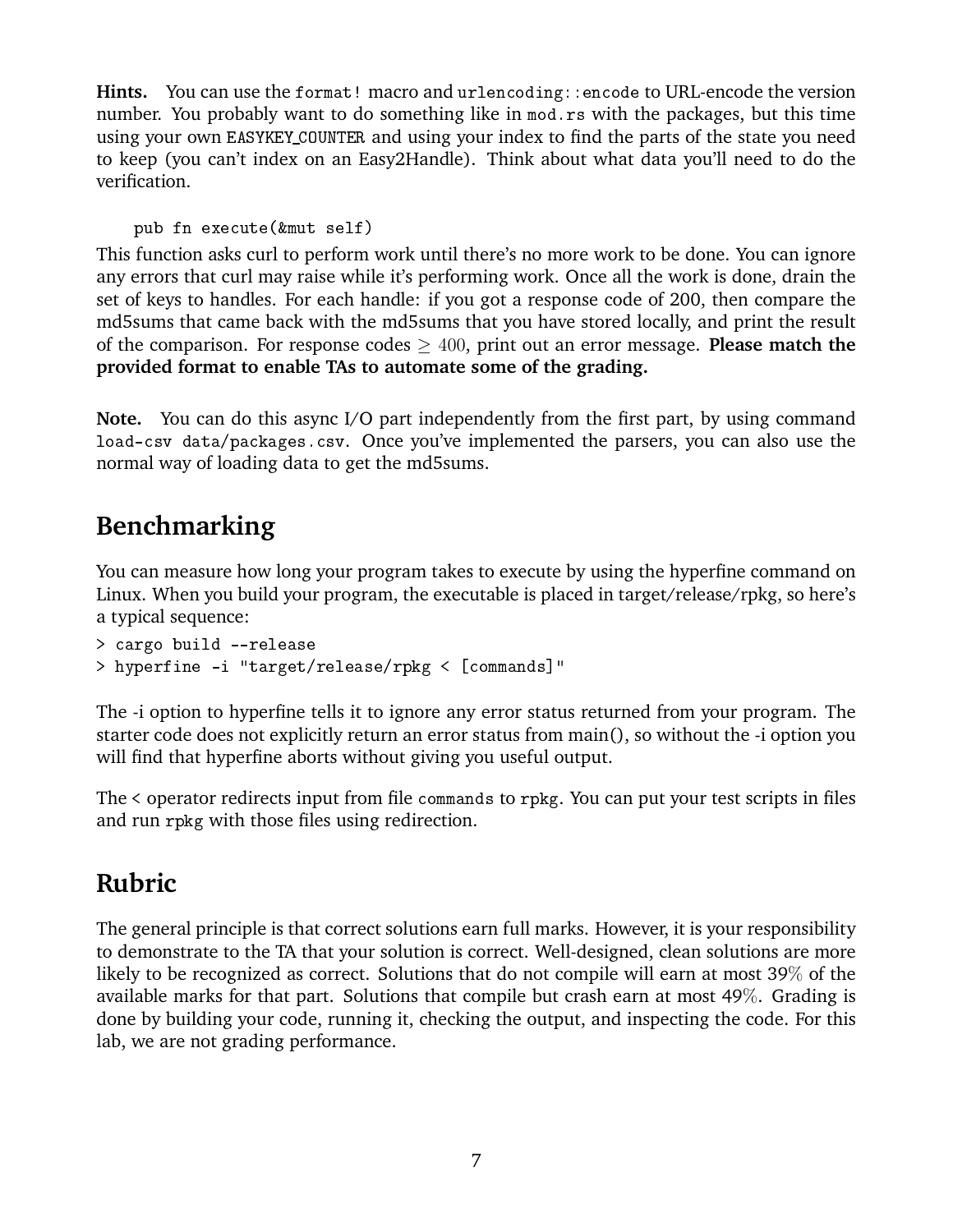Hints. You can use the format! macro and urlencoding::encode to URL-encode the version number. You probably want to do something like in mod.rs with the packages, but this time using your own EASYKEY\_COUNTER and using your index to find the parts of the state you need to keep (you can't index on an Easy2Handle). Think about what data you'll need to do the verification.

```
pub fn execute(&mut self)
```
This function asks curl to perform work until there's no more work to be done. You can ignore any errors that curl may raise while it's performing work. Once all the work is done, drain the set of keys to handles. For each handle: if you got a response code of 200, then compare the md5sums that came back with the md5sums that you have stored locally, and print the result of the comparison. For response codes ≥ 400, print out an error message. **Please match the provided format to enable TAs to automate some of the grading.**

**Note.** You can do this async I/O part independently from the first part, by using command load-csv data/packages.csv. Once you've implemented the parsers, you can also use the normal way of loading data to get the md5sums.

# **Benchmarking**

You can measure how long your program takes to execute by using the hyperfine command on Linux. When you build your program, the executable is placed in target/release/rpkg, so here's a typical sequence:

```
> cargo build --release
> hyperfine -i "target/release/rpkg < [commands]"
```
The -i option to hyperfine tells it to ignore any error status returned from your program. The starter code does not explicitly return an error status from main(), so without the -i option you will find that hyperfine aborts without giving you useful output.

The < operator redirects input from file commands to rpkg. You can put your test scripts in files and run rpkg with those files using redirection.

# **Rubric**

The general principle is that correct solutions earn full marks. However, it is your responsibility to demonstrate to the TA that your solution is correct. Well-designed, clean solutions are more likely to be recognized as correct. Solutions that do not compile will earn at most 39% of the available marks for that part. Solutions that compile but crash earn at most 49%. Grading is done by building your code, running it, checking the output, and inspecting the code. For this lab, we are not grading performance.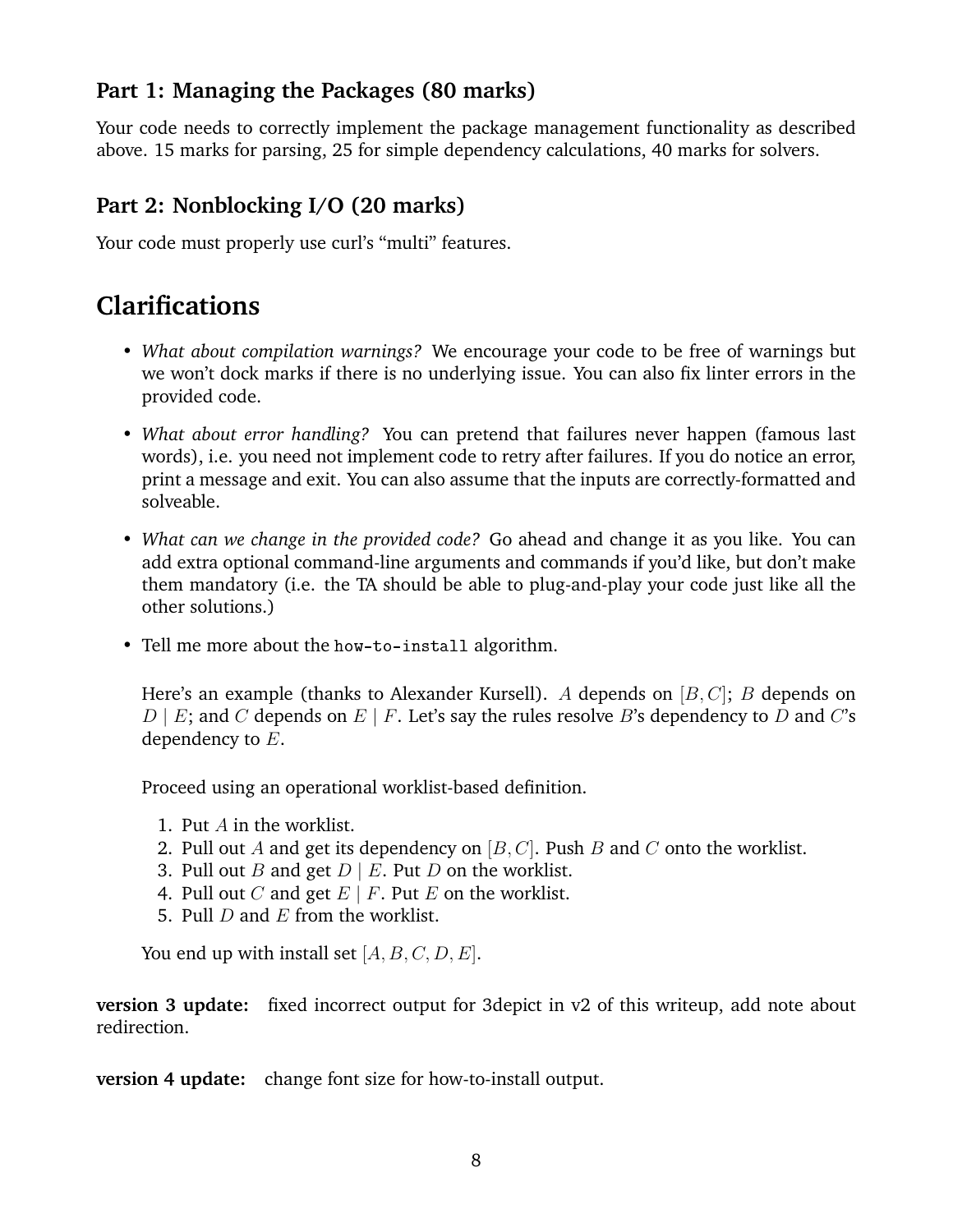### **Part 1: Managing the Packages (80 marks)**

Your code needs to correctly implement the package management functionality as described above. 15 marks for parsing, 25 for simple dependency calculations, 40 marks for solvers.

### **Part 2: Nonblocking I/O (20 marks)**

Your code must properly use curl's "multi" features.

### **Clarifications**

- *What about compilation warnings?* We encourage your code to be free of warnings but we won't dock marks if there is no underlying issue. You can also fix linter errors in the provided code.
- *What about error handling?* You can pretend that failures never happen (famous last words), i.e. you need not implement code to retry after failures. If you do notice an error, print a message and exit. You can also assume that the inputs are correctly-formatted and solveable.
- *What can we change in the provided code?* Go ahead and change it as you like. You can add extra optional command-line arguments and commands if you'd like, but don't make them mandatory (i.e. the TA should be able to plug-and-play your code just like all the other solutions.)
- Tell me more about the how-to-install algorithm.

Here's an example (thanks to Alexander Kursell). A depends on  $[B, C]$ ; B depends on  $D \mid E$ ; and C depends on  $E \mid F$ . Let's say the rules resolve B's dependency to D and C's dependency to E.

Proceed using an operational worklist-based definition.

- 1. Put A in the worklist.
- 2. Pull out A and get its dependency on  $[B, C]$ . Push B and C onto the worklist.
- 3. Pull out *B* and get  $D \mid E$ . Put *D* on the worklist.
- 4. Pull out C and get  $E \mid F$ . Put E on the worklist.
- 5. Pull D and  $E$  from the worklist.

You end up with install set  $[A, B, C, D, E]$ .

**version 3 update:** fixed incorrect output for 3depict in v2 of this writeup, add note about redirection.

**version 4 update:** change font size for how-to-install output.